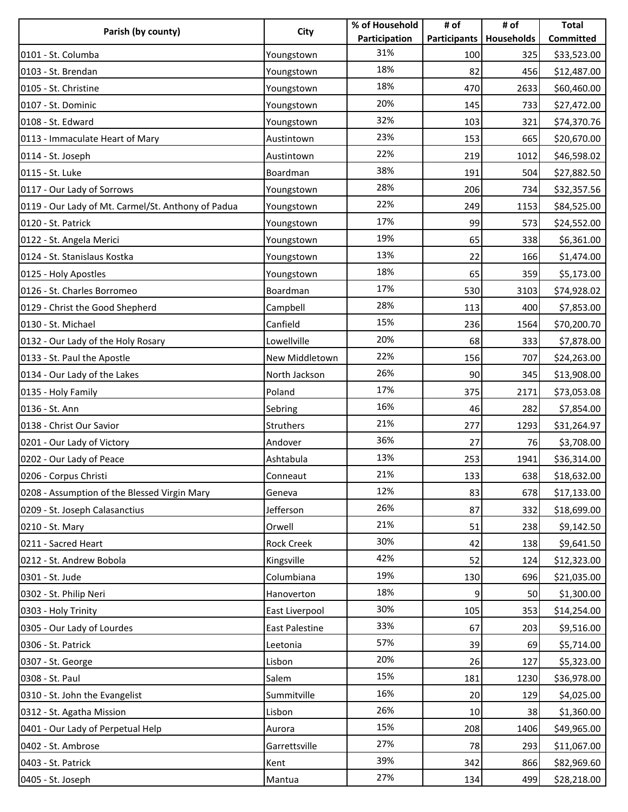| Parish (by county)                                 | City                  | % of Household | # of | # of                      | <b>Total</b> |
|----------------------------------------------------|-----------------------|----------------|------|---------------------------|--------------|
|                                                    |                       | Participation  |      | Participants   Households | Committed    |
| 0101 - St. Columba                                 | Youngstown            | 31%            | 100  | 325                       | \$33,523.00  |
| 0103 - St. Brendan                                 | Youngstown            | 18%            | 82   | 456                       | \$12,487.00  |
| 0105 - St. Christine                               | Youngstown            | 18%            | 470  | 2633                      | \$60,460.00  |
| 0107 - St. Dominic                                 | Youngstown            | 20%            | 145  | 733                       | \$27,472.00  |
| 0108 - St. Edward                                  | Youngstown            | 32%            | 103  | 321                       | \$74,370.76  |
| 0113 - Immaculate Heart of Mary                    | Austintown            | 23%            | 153  | 665                       | \$20,670.00  |
| 0114 - St. Joseph                                  | Austintown            | 22%            | 219  | 1012                      | \$46,598.02  |
| 0115 - St. Luke                                    | Boardman              | 38%            | 191  | 504                       | \$27,882.50  |
| 0117 - Our Lady of Sorrows                         | Youngstown            | 28%            | 206  | 734                       | \$32,357.56  |
| 0119 - Our Lady of Mt. Carmel/St. Anthony of Padua | Youngstown            | 22%            | 249  | 1153                      | \$84,525.00  |
| 0120 - St. Patrick                                 | Youngstown            | 17%            | 99   | 573                       | \$24,552.00  |
| 0122 - St. Angela Merici                           | Youngstown            | 19%            | 65   | 338                       | \$6,361.00   |
| 0124 - St. Stanislaus Kostka                       | Youngstown            | 13%            | 22   | 166                       | \$1,474.00   |
| 0125 - Holy Apostles                               | Youngstown            | 18%            | 65   | 359                       | \$5,173.00   |
| 0126 - St. Charles Borromeo                        | Boardman              | 17%            | 530  | 3103                      | \$74,928.02  |
| 0129 - Christ the Good Shepherd                    | Campbell              | 28%            | 113  | 400                       | \$7,853.00   |
| 0130 - St. Michael                                 | Canfield              | 15%            | 236  | 1564                      | \$70,200.70  |
| 0132 - Our Lady of the Holy Rosary                 | Lowellville           | 20%            | 68   | 333                       | \$7,878.00   |
| 0133 - St. Paul the Apostle                        | New Middletown        | 22%            | 156  | 707                       | \$24,263.00  |
| 0134 - Our Lady of the Lakes                       | North Jackson         | 26%            | 90   | 345                       | \$13,908.00  |
| 0135 - Holy Family                                 | Poland                | 17%            | 375  | 2171                      | \$73,053.08  |
| 0136 - St. Ann                                     | Sebring               | 16%            | 46   | 282                       | \$7,854.00   |
| 0138 - Christ Our Savior                           | Struthers             | 21%            | 277  | 1293                      | \$31,264.97  |
| 0201 - Our Lady of Victory                         | Andover               | 36%            | 27   | 76                        | \$3,708.00   |
| 0202 - Our Lady of Peace                           | Ashtabula             | 13%            | 253  | 1941                      | \$36,314.00  |
| 0206 - Corpus Christi                              | Conneaut              | 21%            | 133  | 638                       | \$18,632.00  |
| 0208 - Assumption of the Blessed Virgin Mary       | Geneva                | 12%            | 83   | 678                       | \$17,133.00  |
| 0209 - St. Joseph Calasanctius                     | Jefferson             | 26%            | 87   | 332                       | \$18,699.00  |
| 0210 - St. Mary                                    | Orwell                | 21%            | 51   | 238                       | \$9,142.50   |
| 0211 - Sacred Heart                                | <b>Rock Creek</b>     | 30%            | 42   | 138                       | \$9,641.50   |
| 0212 - St. Andrew Bobola                           | Kingsville            | 42%            | 52   | 124                       | \$12,323.00  |
| 0301 - St. Jude                                    | Columbiana            | 19%            | 130  | 696                       | \$21,035.00  |
| 0302 - St. Philip Neri                             | Hanoverton            | 18%            | 9    | 50                        | \$1,300.00   |
| 0303 - Holy Trinity                                | East Liverpool        | 30%            | 105  | 353                       | \$14,254.00  |
| 0305 - Our Lady of Lourdes                         | <b>East Palestine</b> | 33%            | 67   | 203                       | \$9,516.00   |
| 0306 - St. Patrick                                 | Leetonia              | 57%            | 39   | 69                        | \$5,714.00   |
| 0307 - St. George                                  | Lisbon                | 20%            | 26   | 127                       | \$5,323.00   |
| 0308 - St. Paul                                    | Salem                 | 15%            | 181  | 1230                      | \$36,978.00  |
| 0310 - St. John the Evangelist                     | Summitville           | 16%            | 20   | 129                       | \$4,025.00   |
| 0312 - St. Agatha Mission                          | Lisbon                | 26%            | 10   | 38                        | \$1,360.00   |
| 0401 - Our Lady of Perpetual Help                  | Aurora                | 15%            | 208  | 1406                      | \$49,965.00  |
| 0402 - St. Ambrose                                 | Garrettsville         | 27%            | 78   | 293                       | \$11,067.00  |
| 0403 - St. Patrick                                 | Kent                  | 39%            | 342  | 866                       | \$82,969.60  |
| 0405 - St. Joseph                                  | Mantua                | 27%            | 134  | 499                       | \$28,218.00  |